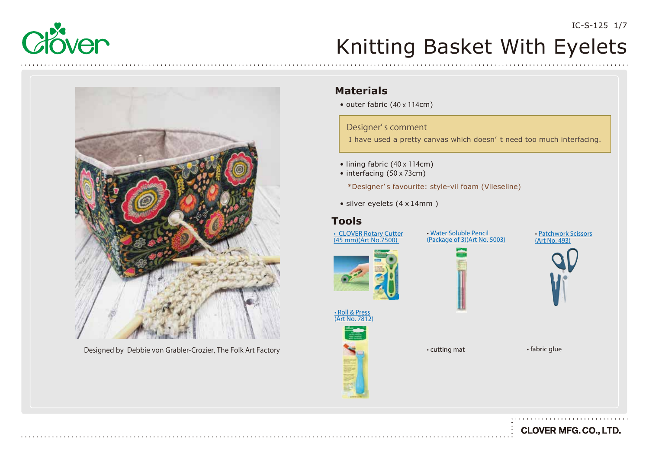



Designed by Debbie von Grabler-Crozier, The Folk Art Factory **Factory • Cutting mat** • fabric glue • fabric glue

#### **Materials**

• outer fabric (40 x 114cm)

Designer' s comment

I have used a pretty canvas which doesn' t need too much interfacing.

- lining fabric (40 x 114cm)
- interfacing (50 x 73cm)

\*Designer' s favourite: style-vil foam (Vlieseline)

• silver eyelets (4 x 14mm )

#### **Tools**

[• CLOVER Rotary Cutter](https://www.clover-mfg.com/product/7/92) (45 mm)(Art No.7500)

• Water Soluble Pencil [\(Package of 3\)\(Art No. 5003\)](https://www.clover-mfg.com/product/8/296)





• Roll & Press Art No. 7812



• cutting mat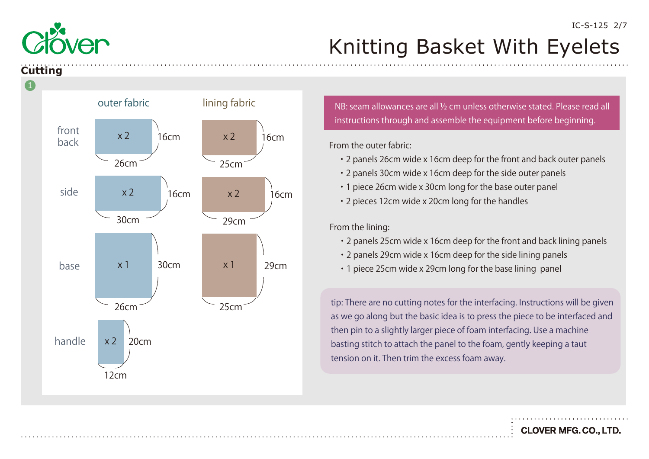

#### **Cutting**



instructions through and assemble the equipment before beginning.

From the outer fabric:

- ・2 panels 26cm wide x 16cm deep for the front and back outer panels
- ・2 panels 30cm wide x 16cm deep for the side outer panels
- ・1 piece 26cm wide x 30cm long for the base outer panel
- ・2 pieces 12cm wide x 20cm long for the handles

From the lining:

- ・2 panels 25cm wide x 16cm deep for the front and back lining panels
- ・2 panels 29cm wide x 16cm deep for the side lining panels
- ・1 piece 25cm wide x 29cm long for the base lining panel

tip: There are no cutting notes for the interfacing. Instructions will be given as we go along but the basic idea is to press the piece to be interfaced and then pin to a slightly larger piece of foam interfacing. Use a machine basting stitch to attach the panel to the foam, gently keeping a taut tension on it. Then trim the excess foam away.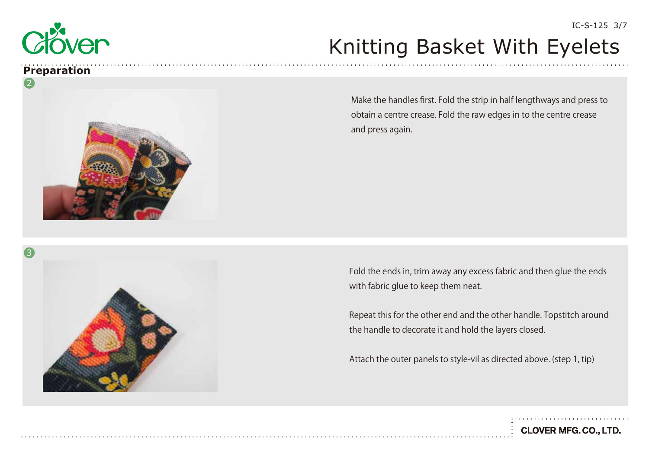

#### **Preparation**



Make the handles first. Fold the strip in half lengthways and press to obtain a centre crease. Fold the raw edges in to the centre crease and press again.

Fold the ends in, trim away any excess fabric and then glue the ends with fabric glue to keep them neat.

Repeat this for the other end and the other handle. Topstitch around the handle to decorate it and hold the layers closed.

Attach the outer panels to style-vil as directed above. (step 1, tip)

**CLOVER MFG. CO., LTD.** 

IC-S-125 3/7

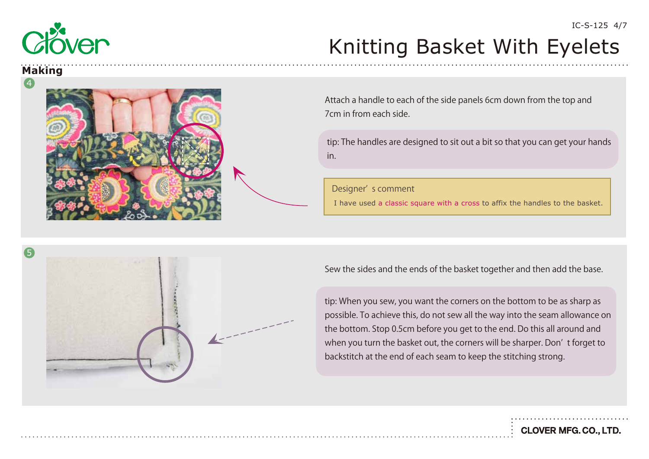

#### **Making**



Attach a handle to each of the side panels 6cm down from the top and 7cm in from each side.

tip: The handles are designed to sit out a bit so that you can get your hands in.

Designer' s comment

I have used a classic square with a cross to affix the handles to the basket.



Sew the sides and the ends of the basket together and then add the base.

tip: When you sew, you want the corners on the bottom to be as sharp as possible. To achieve this, do not sew all the way into the seam allowance on the bottom. Stop 0.5cm before you get to the end. Do this all around and when you turn the basket out, the corners will be sharper. Don' t forget to backstitch at the end of each seam to keep the stitching strong.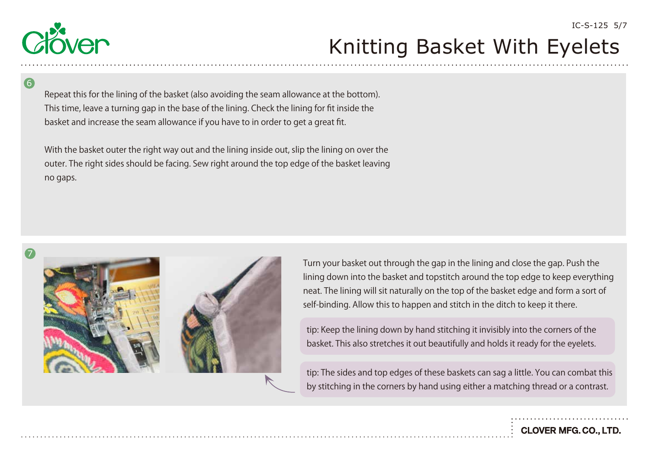

6

Repeat this for the lining of the basket (also avoiding the seam allowance at the bottom). This time, leave a turning gap in the base of the lining. Check the lining for fit inside the basket and increase the seam allowance if you have to in order to get a great fit.

With the basket outer the right way out and the lining inside out, slip the lining on over the outer. The right sides should be facing. Sew right around the top edge of the basket leaving no gaps.







Turn your basket out through the gap in the lining and close the gap. Push the lining down into the basket and topstitch around the top edge to keep everything neat. The lining will sit naturally on the top of the basket edge and form a sort of self-binding. Allow this to happen and stitch in the ditch to keep it there.

tip: Keep the lining down by hand stitching it invisibly into the corners of the basket. This also stretches it out beautifully and holds it ready for the eyelets.

tip: The sides and top edges of these baskets can sag a little. You can combat this by stitching in the corners by hand using either a matching thread or a contrast.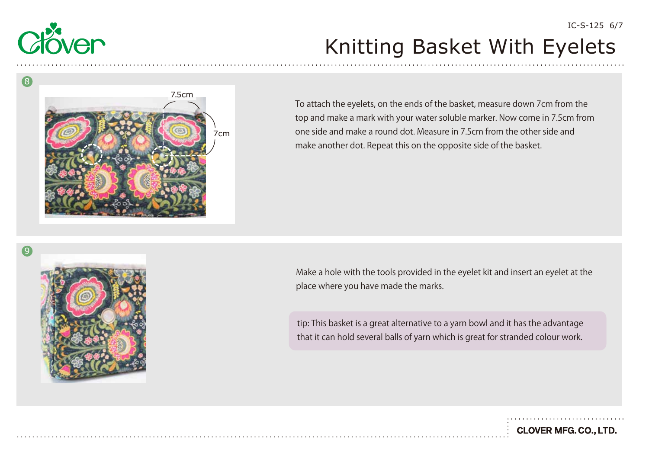



To attach the eyelets, on the ends of the basket, measure down 7cm from the top and make a mark with your water soluble marker. Now come in 7.5cm from one side and make a round dot. Measure in 7.5cm from the other side and make another dot. Repeat this on the opposite side of the basket.



Make a hole with the tools provided in the eyelet kit and insert an eyelet at the place where you have made the marks.

tip: This basket is a great alternative to a yarn bowl and it has the advantage that it can hold several balls of yarn which is great for stranded colour work.